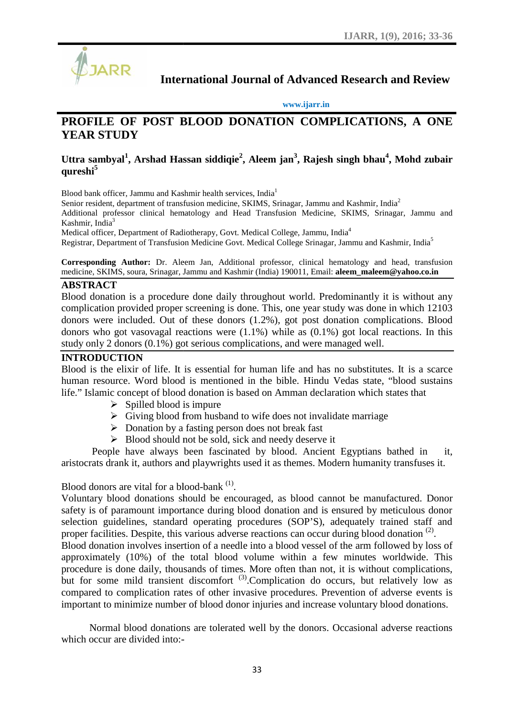

**International Journal of Advanced Research and Review**

#### **www.ijarr.in**

# International Journal of Advanced Research and Review<br> **PROFILE OF POST BLOOD DONATION COMPLICATIONS, A ONE YEAR STUDY**

#### **Uttra sambyal<sup>1</sup> , Arshad Hassan siddiqie<sup>2</sup> , Aleem jan<sup>3</sup> , Rajesh singh bhau<sup>4</sup> , Mohd zubair sambyal bhauqureshi<sup>5</sup>**

Blood bank officer, Jammu and Kashmir health services, India<sup>1</sup>

Blood bank officer, Jammu and Kashmir health services, India<sup>1</sup><br>Senior resident, department of transfusion medicine, SKIMS, Srinagar, Jammu and Kashmir, India<sup>2</sup>

Additional professor clinical hematology and Head Transfusion Medicine, SKIMS, Srinagar, Jammu and<br>Kashmir, India<sup>3</sup><br>Medical officer, Department of Radiotherapy, Govt. Medical College, Jammu, India<sup>4</sup> Kashmir, India $3$ 

Medical officer, Department of Radiotherapy, Govt. Medical College, Jammu, India<sup>4</sup> Registrar, Department of Transfusion Medicine Govt. Medical College Srinagar, Jammu and Kashmir, India<sup>5</sup>

**Corresponding Author:** Dr. Aleem Jan, Additional professor, clinical hematology and head, transfusion medicine, SKIMS, soura, Srinagar, Jammu and Kashmir (India) 190011, Email: **aleem\_maleem@yahoo.co.in** Registrar, Department of Transfusion Medicine Govt. Medical College Srinagar, Jammu and Ka<br>Corresponding Author: Dr. Aleem Jan, Additional professor, clinical hematology and<br>medicine, SKIMS, soura, Srinagar, Jammu and Kash

#### **ABSTRACT**

Blood donation is a procedure done daily throughout world. Predominantly it is without any Blood donation is a procedure done daily throughout world. Predominantly it is without any complication provided proper screening is done. This, one year study was done in which 12103 donors were included. Out of these donors (1.2%), got post donation complications. Blood donors who got vasovagal reactions were  $(1.1\%)$  while as  $(0.1\%)$  got local reactions. In this study only 2 donors  $(0.1\%)$  got serious complications, and were managed well. study only 2 donors (0.1%) got serious complications, and were managed well.

#### **INTRODUCTION**

Blood is the elixir of life. It is essential for human life and has no substitutes. It is a scarce human resource. Word blood is mentioned in the bible. Hindu Vedas state, "blood sustains life." Islamic concept of blood donation is based on Amman declaration which states that Blood is the elixir of life. It is essential for human life and has no substitutes. It is a scare<br>human resource. Word blood is mentioned in the bible. Hindu Vedas state, "blood sustain<br>life." Islamic concept of blood don

- $\triangleright$  Spilled blood is impure
- $\triangleright$  Giving blood from husband to wife does not invalidate marriage
- $\triangleright$  Donation by a fasting person does not break fast
- $\triangleright$  Blood should not be sold, sick and needy deserve it

People have always been fascinated by blood. Ancient Egyptians bathed in it, aristocrats drank it, authors and playwrights used it as themes. Modern humanity transfuses it.

#### Blood donors are vital for a blood-bank <sup>(1)</sup>.

Voluntary blood donations should be encouraged, as blood cannot be manufactured. Donor safety is of paramount importance during blood donation and is ensured by meticulous donor selection guidelines, standard operating procedures (SOP'S), adequately trained staff and proper facilities. Despite, this various adverse reactions can occur during blood donation  $(2)$ .

Blood donation involves insertion of a needle into a blood vessel of the arm followed by loss of approximately (10%) of the total blood volume within a few minutes worldwide. This proper facilities. Despite, this various adverse reactions can occur during blood donation <sup>(2)</sup>.<br>Blood donation involves insertion of a needle into a blood vessel of the arm followed by loss of approximately (10%) of the but for some mild transient discomfort<sup>(3)</sup>.Complication do occurs, but relatively low as compared to complication rates of other invasive procedures. Prevention of adverse events is compared to complication rates of other invasive procedures. Prevention of adverse events is important to minimize number of blood donor injuries and increase voluntary blood donations. nt of Radiotherapy, Govt. Medical College, Jammu, India<sup>3</sup><br>nt of Radiotherapy, Govt. Medical College Srinagar, Jammu and Kashmir, India<sup>3</sup><br>Dr. Aleem Jan, Additional professor, clinical hematology and head, transfision<br>Srin

Normal blood donations are tolerated well by the donors. Occasional adverse reactions which occur are divided into:-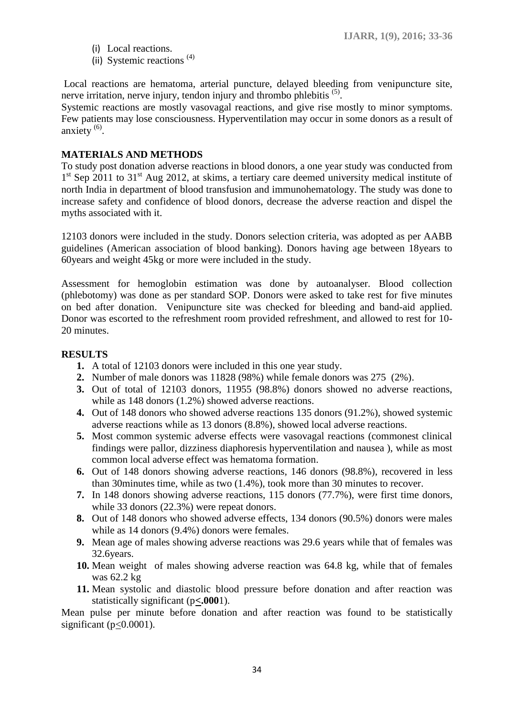- (i) Local reactions.
- (ii) Systemic reactions<sup>(4)</sup>

Local reactions are hematoma, arterial puncture, delayed bleeding from venipuncture site, nerve irritation, nerve injury, tendon injury and thrombo phlebitis <sup>(5)</sup>.

Systemic reactions are mostly vasovagal reactions, and give rise mostly to minor symptoms. Few patients may lose consciousness. Hyperventilation may occur in some donors as a result of anxiety  $^{(6)}$ .

#### **MATERIALS AND METHODS**

To study post donation adverse reactions in blood donors, a one year study was conducted from 1<sup>st</sup> Sep 2011 to 31<sup>st</sup> Aug 2012, at skims, a tertiary care deemed university medical institute of north India in department of blood transfusion and immunohematology. The study was done to increase safety and confidence of blood donors, decrease the adverse reaction and dispel the myths associated with it.

12103 donors were included in the study. Donors selection criteria, was adopted as per AABB guidelines (American association of blood banking). Donors having age between 18years to 60years and weight 45kg or more were included in the study.

Assessment for hemoglobin estimation was done by autoanalyser. Blood collection (phlebotomy) was done as per standard SOP. Donors were asked to take rest for five minutes on bed after donation. Venipuncture site was checked for bleeding and band-aid applied. Donor was escorted to the refreshment room provided refreshment, and allowed to rest for 10- 20 minutes.

## **RESULTS**

- **1.** A total of 12103 donors were included in this one year study.
- **2.** Number of male donors was 11828 (98%) while female donors was 275 (2%).
- **3.** Out of total of 12103 donors, 11955 (98.8%) donors showed no adverse reactions, while as 148 donors (1.2%) showed adverse reactions.
- **4.** Out of 148 donors who showed adverse reactions 135 donors (91.2%), showed systemic adverse reactions while as 13 donors (8.8%), showed local adverse reactions.
- **5.** Most common systemic adverse effects were vasovagal reactions (commonest clinical findings were pallor, dizziness diaphoresis hyperventilation and nausea ), while as most common local adverse effect was hematoma formation.
- **6.** Out of 148 donors showing adverse reactions, 146 donors (98.8%), recovered in less than 30minutes time, while as two (1.4%), took more than 30 minutes to recover.
- **7.** In 148 donors showing adverse reactions, 115 donors (77.7%), were first time donors, while 33 donors (22.3%) were repeat donors.
- **8.** Out of 148 donors who showed adverse effects, 134 donors (90.5%) donors were males while as 14 donors (9.4%) donors were females.
- **9.** Mean age of males showing adverse reactions was 29.6 years while that of females was 32.6years.
- **10.** Mean weight of males showing adverse reaction was 64.8 kg, while that of females was 62.2 kg
- **11.** Mean systolic and diastolic blood pressure before donation and after reaction was statistically significant (p**<.000**1).

Mean pulse per minute before donation and after reaction was found to be statistically significant ( $p<0.0001$ ).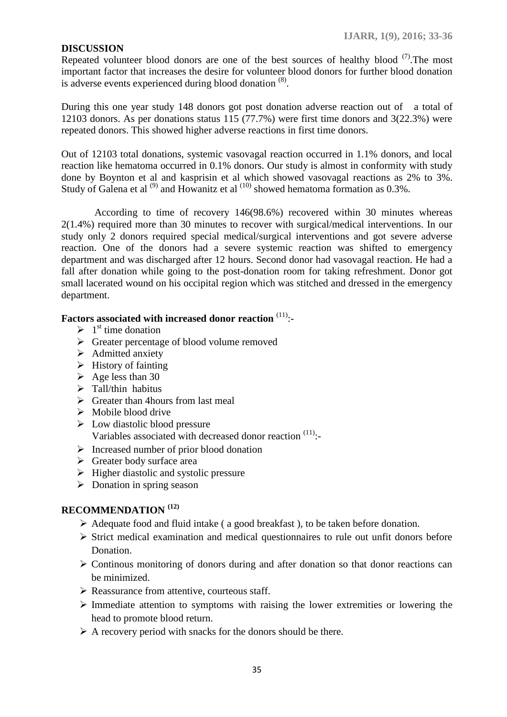## **DISCUSSION**

Repeated volunteer blood donors are one of the best sources of healthy blood  $(7)$ . The most important factor that increases the desire for volunteer blood donors for further blood donation is adverse events experienced during blood donation  $<sup>(8)</sup>$ .</sup>

During this one year study 148 donors got post donation adverse reaction out of a total of 12103 donors. As per donations status 115 (77.7%) were first time donors and 3(22.3%) were repeated donors. This showed higher adverse reactions in first time donors.

Out of 12103 total donations, systemic vasovagal reaction occurred in 1.1% donors, and local reaction like hematoma occurred in 0.1% donors. Our study is almost in conformity with study done by Boynton et al and kasprisin et al which showed vasovagal reactions as 2% to 3%. Study of Galena et al  $^{(9)}$  and Howanitz et al  $^{(10)}$  showed hematoma formation as  $0.3\%$ .

According to time of recovery 146(98.6%) recovered within 30 minutes whereas 2(1.4%) required more than 30 minutes to recover with surgical/medical interventions. In our study only 2 donors required special medical/surgical interventions and got severe adverse reaction. One of the donors had a severe systemic reaction was shifted to emergency department and was discharged after 12 hours. Second donor had vasovagal reaction. He had a fall after donation while going to the post-donation room for taking refreshment. Donor got small lacerated wound on his occipital region which was stitched and dressed in the emergency department.

# **Factors associated with increased donor reaction** (11):-

- $\geq 1^{\text{st}}$  time donation
- $\triangleright$  Greater percentage of blood volume removed
- $\triangleright$  Admitted anxiety
- $\triangleright$  History of fainting
- $\blacktriangleright$  Age less than 30
- $\triangleright$  Tall/thin habitus
- $\triangleright$  Greater than 4 hours from last meal
- $\triangleright$  Mobile blood drive
- $\triangleright$  Low diastolic blood pressure Variables associated with decreased donor reaction  $(11)$ :
- $\triangleright$  Increased number of prior blood donation
- $\triangleright$  Greater body surface area
- $\triangleright$  Higher diastolic and systolic pressure
- $\triangleright$  Donation in spring season

# **RECOMMENDATION (12)**

- $\triangleright$  Adequate food and fluid intake (a good breakfast), to be taken before donation.
- $\triangleright$  Strict medical examination and medical questionnaires to rule out unfit donors before Donation.
- $\triangleright$  Continous monitoring of donors during and after donation so that donor reactions can be minimized.
- $\triangleright$  Reassurance from attentive, courteous staff.
- $\triangleright$  Immediate attention to symptoms with raising the lower extremities or lowering the head to promote blood return.
- $\triangleright$  A recovery period with snacks for the donors should be there.